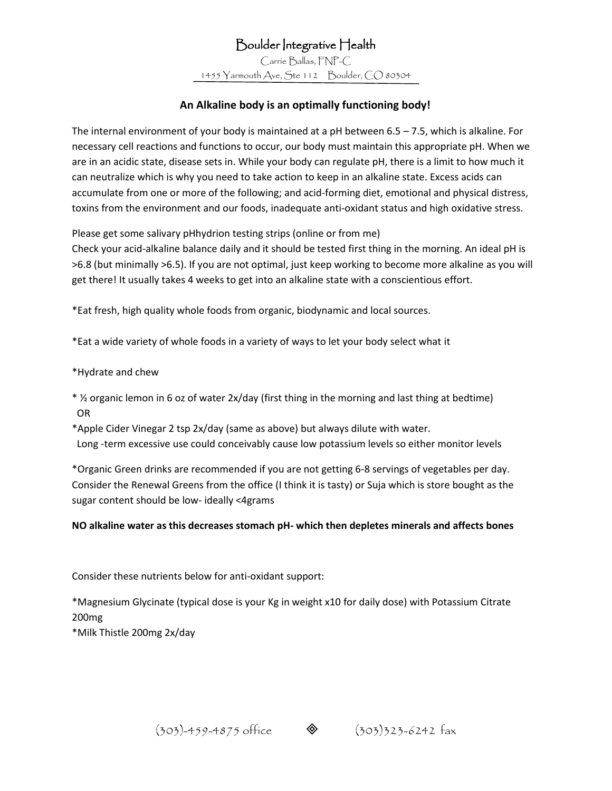Boulder Integrative Health Carrie Ballas, FNP-C 1455 Yarmouth Ave, Ste 112 Boulder, CO 80304

## **An Alkaline body is an optimally functioning body!**

The internal environment of your body is maintained at a pH between 6.5 – 7.5, which is alkaline. For necessary cell reactions and functions to occur, our body must maintain this appropriate pH. When we are in an acidic state, disease sets in. While your body can regulate pH, there is a limit to how much it can neutralize which is why you need to take action to keep in an alkaline state. Excess acids can accumulate from one or more of the following; and acid-forming diet, emotional and physical distress, toxins from the environment and our foods, inadequate anti-oxidant status and high oxidative stress.

Please get some salivary pHhydrion testing strips (online or from me)

Check your acid-alkaline balance daily and it should be tested first thing in the morning. An ideal pH is >6.8 (but minimally >6.5). If you are not optimal, just keep working to become more alkaline as you will get there! It usually takes 4 weeks to get into an alkaline state with a conscientious effort.

\*Eat fresh, high quality whole foods from organic, biodynamic and local sources.

\*Eat a wide variety of whole foods in a variety of ways to let your body select what it

\*Hydrate and chew

- \* ½ organic lemon in 6 oz of water 2x/day (first thing in the morning and last thing at bedtime) OR
- \*Apple Cider Vinegar 2 tsp 2x/day (same as above) but always dilute with water. Long -term excessive use could conceivably cause low potassium levels so either monitor levels

\*Organic Green drinks are recommended if you are not getting 6-8 servings of vegetables per day. Consider the Renewal Greens from the office (I think it is tasty) or Suja which is store bought as the sugar content should be low- ideally <4grams

**NO alkaline water as this decreases stomach pH- which then depletes minerals and affects bones**

Consider these nutrients below for anti-oxidant support:

\*Magnesium Glycinate (typical dose is your Kg in weight x10 for daily dose) with Potassium Citrate 200mg

\*Milk Thistle 200mg 2x/day